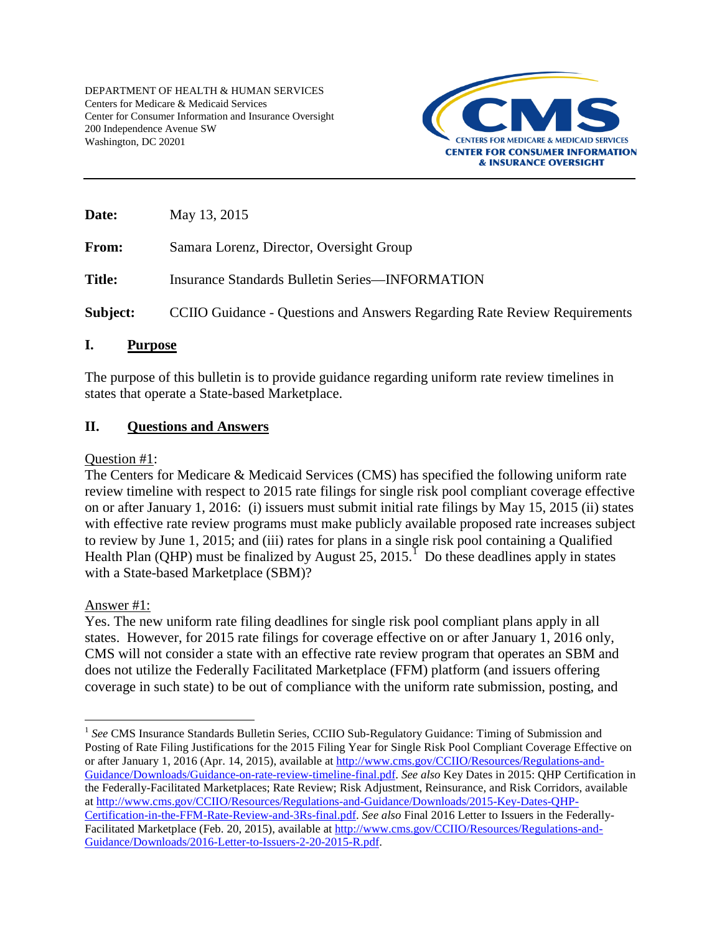DEPARTMENT OF HEALTH & HUMAN SERVICES Centers for Medicare & Medicaid Services Center for Consumer Information and Insurance Oversight 200 Independence Avenue SW Washington, DC 20201



**Date:** May 13, 2015 From: Samara Lorenz, Director, Oversight Group **Title:** Insurance Standards Bulletin Series—INFORMATION

**Subject:** CCIIO Guidance - Questions and Answers Regarding Rate Review Requirements

## **I. Purpose**

The purpose of this bulletin is to provide guidance regarding uniform rate review timelines in states that operate a State-based Marketplace.

## **II. Questions and Answers**

## Question #1:

The Centers for Medicare & Medicaid Services (CMS) has specified the following uniform rate review timeline with respect to 2015 rate filings for single risk pool compliant coverage effective on or after January 1, 2016: (i) issuers must submit initial rate filings by May 15, 2015 (ii) states with effective rate review programs must make publicly available proposed rate increases subject to review by June 1, 2015; and (iii) rates for plans in a single risk pool containing a Qualified Health Plan (QHP) must be finalized by August 25, 20[1](#page-0-0)5.<sup>1</sup> Do these deadlines apply in states with a State-based Marketplace (SBM)?

## Answer #1:

Yes. The new uniform rate filing deadlines for single risk pool compliant plans apply in all states. However, for 2015 rate filings for coverage effective on or after January 1, 2016 only, CMS will not consider a state with an effective rate review program that operates an SBM and does not utilize the Federally Facilitated Marketplace (FFM) platform (and issuers offering coverage in such state) to be out of compliance with the uniform rate submission, posting, and

<span id="page-0-0"></span> $\overline{a}$ <sup>1</sup> See CMS Insurance Standards Bulletin Series, CCIIO Sub-Regulatory Guidance: Timing of Submission and Posting of Rate Filing Justifications for the 2015 Filing Year for Single Risk Pool Compliant Coverage Effective on or after January 1, 2016 (Apr. 14, 2015), available at [http://www.cms.gov/CCIIO/Resources/Regulations-and-](http://www.cms.gov/CCIIO/Resources/Regulations-and-Guidance/Downloads/Guidance-on-rate-review-timeline-final.pdf)[Guidance/Downloads/Guidance-on-rate-review-timeline-final.pdf.](http://www.cms.gov/CCIIO/Resources/Regulations-and-Guidance/Downloads/Guidance-on-rate-review-timeline-final.pdf) *See also* Key Dates in 2015: QHP Certification in the Federally-Facilitated Marketplaces; Rate Review; Risk Adjustment, Reinsurance, and Risk Corridors, available a[t http://www.cms.gov/CCIIO/Resources/Regulations-and-Guidance/Downloads/2015-Key-Dates-QHP-](http://www.cms.gov/CCIIO/Resources/Regulations-and-Guidance/Downloads/2015-Key-Dates-QHP-Certification-in-the-FFM-Rate-Review-and-3Rs-final.pdf)[Certification-in-the-FFM-Rate-Review-and-3Rs-final.pdf.](http://www.cms.gov/CCIIO/Resources/Regulations-and-Guidance/Downloads/2015-Key-Dates-QHP-Certification-in-the-FFM-Rate-Review-and-3Rs-final.pdf) *See also* Final 2016 Letter to Issuers in the Federally-Facilitated Marketplace (Feb. 20, 2015), available at [http://www.cms.gov/CCIIO/Resources/Regulations-and-](http://www.cms.gov/CCIIO/Resources/Regulations-and-Guidance/Downloads/2016-Letter-to-Issuers-2-20-2015-R.pdf)[Guidance/Downloads/2016-Letter-to-Issuers-2-20-2015-R.pdf.](http://www.cms.gov/CCIIO/Resources/Regulations-and-Guidance/Downloads/2016-Letter-to-Issuers-2-20-2015-R.pdf)